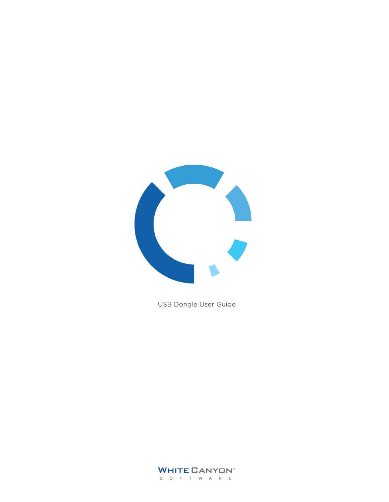

USB Dongle User Guide

**WHITE CANYON** S O F T W A R E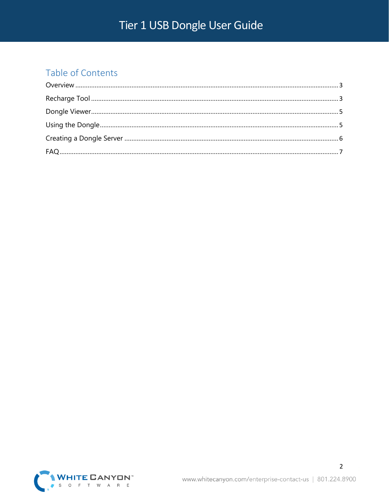### Table of Contents

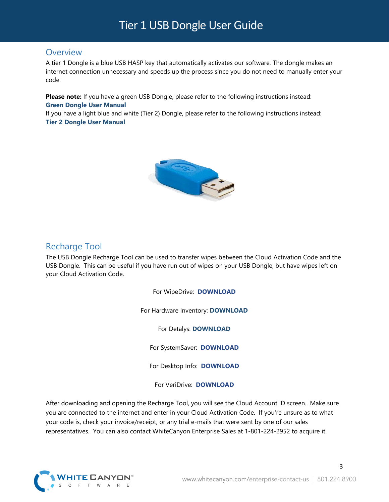#### <span id="page-2-0"></span>**Overview**

A tier 1 Dongle is a blue USB HASP key that automatically activates our software. The dongle makes an internet connection unnecessary and speeds up the process since you do not need to manually enter your code.

**Please note:** If you have a green USB Dongle, please refer to the following instructions instead: **Green Dongle User [Manual](http://orem.whitecanyon.com/downloads/UserGuides/Dongle.pdf)**

If you have a light blue and white (Tier 2) Dongle, please refer to the following instructions instead: **Tier 2 Dongle User [Manual](http://orem.whitecanyon.com/downloads/UserGuides/Black-Dongle.pdf)**



### <span id="page-2-1"></span>Recharge Tool

The USB Dongle Recharge Tool can be used to transfer wipes between the Cloud Activation Code and the USB Dongle. This can be useful if you have run out of wipes on your USB Dongle, but have wipes left on your Cloud Activation Code.

For WipeDrive: **[DOWNLOAD](http://download.whitecanyon.com/tools/dongle-recharge-wipedrive.exe)**

For Hardware Inventory: **[DOWNLOAD](http://download.whitecanyon.com/tools/dongle-recharge-hardware-info.exe)**

For Detalys: **[DOWNLOAD](http://download.whitecanyon.com/tools/dongle-recharge-hardware-test.exe)**

For SystemSaver: **[DOWNLOAD](http://download.whitecanyon.com/tools/dongle-recharge-systemsaver.exe)**

For Desktop Info: **[DOWNLOAD](http://download.whitecanyon.com/tools/dongle-recharge-desktopinfo.exe)**

For VeriDrive: **[DOWNLOAD](http://download.whitecanyon.com/tools/dongle-recharge-veridrive.exe)**

After downloading and opening the Recharge Tool, you will see the Cloud Account ID screen. Make sure you are connected to the internet and enter in your Cloud Activation Code. If you're unsure as to what your code is, check your invoice/receipt, or any trial e-mails that were sent by one of our sales representatives. You can also contact WhiteCanyon Enterprise Sales at 1-801-224-2952 to acquire it.



www.whitecanyon.com/enterprise-contact-us | 801.224.8900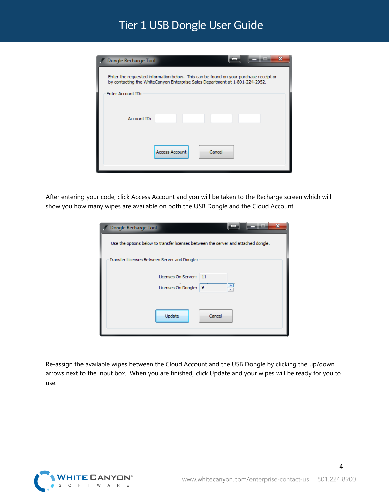| Dongle Recharge Tool |                                                                                                                                                                      |
|----------------------|----------------------------------------------------------------------------------------------------------------------------------------------------------------------|
|                      | Enter the requested information below. This can be found on your purchase receipt or<br>by contacting the WhiteCanyon Enterprise Sales Department at 1-801-224-2952. |
| Enter Account ID:    |                                                                                                                                                                      |
|                      |                                                                                                                                                                      |
| Account ID:          |                                                                                                                                                                      |
|                      |                                                                                                                                                                      |
|                      | Access Account<br>Cancel                                                                                                                                             |
|                      |                                                                                                                                                                      |
|                      |                                                                                                                                                                      |

After entering your code, click Access Account and you will be taken to the Recharge screen which will show you how many wipes are available on both the USB Dongle and the Cloud Account.

| Dongle Recharge Tool                                                               |
|------------------------------------------------------------------------------------|
| Use the options below to transfer licenses between the server and attached dongle. |
| Transfer Licenses Between Server and Dongle:                                       |
| Licenses On Server: 11<br>÷<br>Licenses On Dongle: 9                               |
| Update<br>Cancel                                                                   |

Re-assign the available wipes between the Cloud Account and the USB Dongle by clicking the up/down arrows next to the input box. When you are finished, click Update and your wipes will be ready for you to use.



www.whitecanyon.com/enterprise-contact-us | 801.224.8900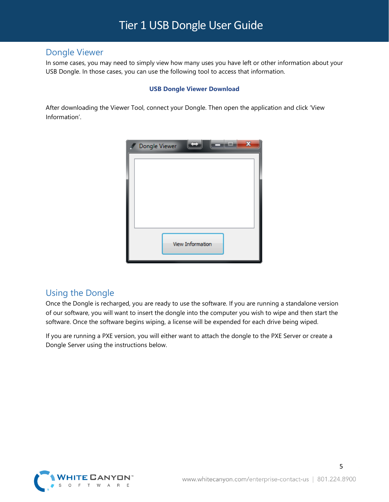#### <span id="page-4-0"></span>Dongle Viewer

In some cases, you may need to simply view how many uses you have left or other information about your USB Dongle. In those cases, you can use the following tool to access that information.

#### **USB Dongle Viewer [Download](http://download.whitecanyon.com/tools/dongle-viewer.exe)**

After downloading the Viewer Tool, connect your Dongle. Then open the application and click 'View Information'.



### <span id="page-4-1"></span>Using the Dongle

Once the Dongle is recharged, you are ready to use the software. If you are running a standalone version of our software, you will want to insert the dongle into the computer you wish to wipe and then start the software. Once the software begins wiping, a license will be expended for each drive being wiped.

If you are running a PXE version, you will either want to attach the dongle to the PXE Server or create a Dongle Server using the instructions below.



5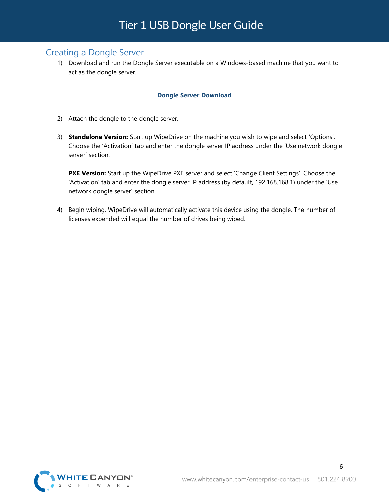### <span id="page-5-0"></span>Creating a Dongle Server

1) Download and run the Dongle Server executable on a Windows-based machine that you want to act as the dongle server.

#### **[Dongle Server Download](http://download.whitecanyon.com/tools/dongle-server.exe)**

- 2) Attach the dongle to the dongle server.
- 3) **Standalone Version:** Start up WipeDrive on the machine you wish to wipe and select 'Options'. Choose the 'Activation' tab and enter the dongle server IP address under the 'Use network dongle server' section.

**PXE Version:** Start up the WipeDrive PXE server and select 'Change Client Settings'. Choose the 'Activation' tab and enter the dongle server IP address (by default, 192.168.168.1) under the 'Use network dongle server' section.

4) Begin wiping. WipeDrive will automatically activate this device using the dongle. The number of licenses expended will equal the number of drives being wiped.



6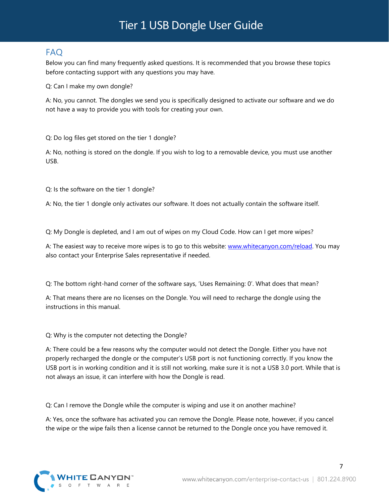### <span id="page-6-0"></span>FAQ

Below you can find many frequently asked questions. It is recommended that you browse these topics before contacting support with any questions you may have.

Q: Can I make my own dongle?

A: No, you cannot. The dongles we send you is specifically designed to activate our software and we do not have a way to provide you with tools for creating your own.

Q: Do log files get stored on the tier 1 dongle?

A: No, nothing is stored on the dongle. If you wish to log to a removable device, you must use another USB.

Q: Is the software on the tier 1 dongle?

A: No, the tier 1 dongle only activates our software. It does not actually contain the software itself.

Q: My Dongle is depleted, and I am out of wipes on my Cloud Code. How can I get more wipes?

A: The easiest way to receive more wipes is to go to this website: [www.whitecanyon.com/reload.](http://www.whitecanyon.com/reload) You may also contact your Enterprise Sales representative if needed.

Q: The bottom right-hand corner of the software says, 'Uses Remaining: 0'. What does that mean?

A: That means there are no licenses on the Dongle. You will need to recharge the dongle using the instructions in this manual.

Q: Why is the computer not detecting the Dongle?

A: There could be a few reasons why the computer would not detect the Dongle. Either you have not properly recharged the dongle or the computer's USB port is not functioning correctly. If you know the USB port is in working condition and it is still not working, make sure it is not a USB 3.0 port. While that is not always an issue, it can interfere with how the Dongle is read.

Q: Can I remove the Dongle while the computer is wiping and use it on another machine?

A: Yes, once the software has activated you can remove the Dongle. Please note, however, if you cancel the wipe or the wipe fails then a license cannot be returned to the Dongle once you have removed it.